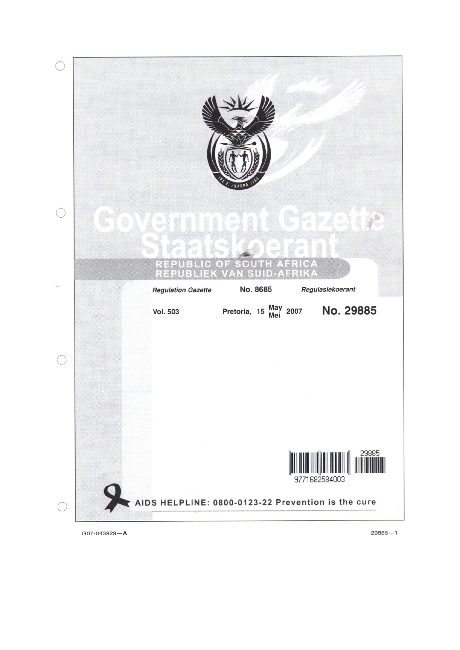

 $G07 - 043929 - A$ 

 $29885 - 1$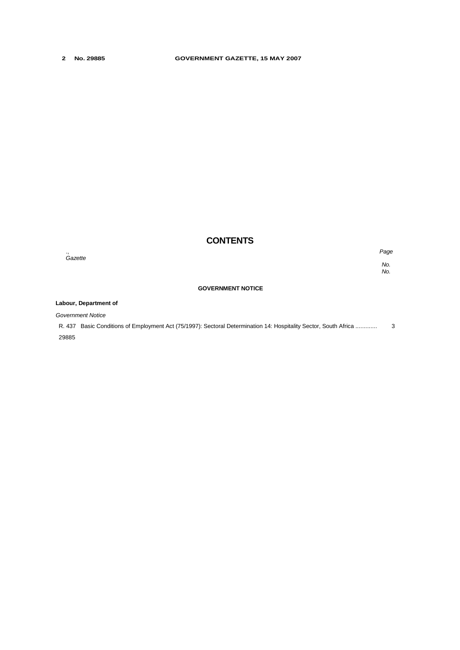# **CONTENTS**

., *Page No.* 

*No.*

#### **GOVERNMENT NOTICE**

#### **Labour, Department of**

*Government Notice*

*Gazette*

R. 437 Basic Conditions of Employment Act (75/1997): Sectoral Determination 14: Hospitality Sector, South Africa ............. 3 29885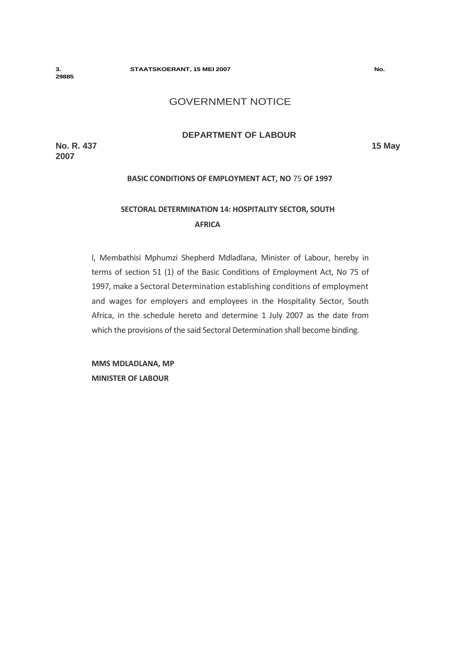#### **3. STAATSKOERANT, 15 MEI 2007 No.**

**29885** 

# GOVERNMENT NOTICE

## **DEPARTMENT OF LABOUR**

**No. R. 437 15 May 2007**

# **BASIC CONDITIONS OF EMPLOYMENT ACT, NO** 75 **OF 1997**

# **SECTORAL DETERMINATION 14: HOSPITALITY SECTOR, SOUTH AFRICA**

I, Membathisi Mphumzi Shepherd Mdladlana, Minister of Labour, hereby in terms of section 51 (1) of the Basic Conditions of Employment Act, No 75 of 1997, make a Sectoral Determination establishing conditions of employment and wages for employers and employees in the Hospitality Sector, South Africa, in the schedule hereto and determine 1 July 2007 as the date from which the provisions of the said Sectoral Determination shall become binding.

**MMS MDLADLANA, MP MINISTER OF LABOUR**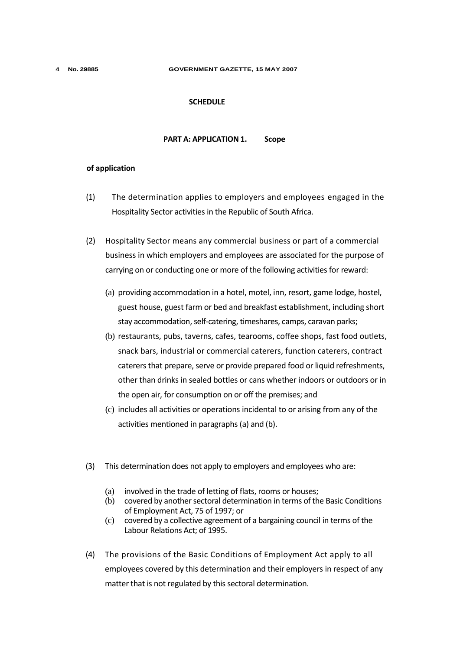#### **4 No. 29885 GOVERNMENT GAZETTE, 15 MAY 2007**

#### **SCHEDULE**

## **PART A: APPLICATION 1. Scope**

#### **of application**

- (1) The determination applies to employers and employees engaged in the Hospitality Sector activities in the Republic of South Africa.
- (2) Hospitality Sector means any commercial business or part of a commercial business in which employers and employees are associated for the purpose of carrying on or conducting one or more of the following activities for reward:
	- (a) providing accommodation in a hotel, motel, inn, resort, game lodge, hostel, guest house, guest farm or bed and breakfast establishment, including short stay accommodation, self-catering, timeshares, camps, caravan parks;
	- (b) restaurants, pubs, taverns, cafes, tearooms, coffee shops, fast food outlets, snack bars, industrial or commercial caterers, function caterers, contract caterers that prepare, serve or provide prepared food or liquid refreshments, other than drinks in sealed bottles or cans whether indoors or outdoors or in the open air, for consumption on or off the premises; and
	- (c) includes all activities or operations incidental to or arising from any of the activities mentioned in paragraphs (a) and (b).
- (3) This determination does not apply to employers and employees who are:
	- (a) involved in the trade of letting of flats, rooms or houses;
	- (b) covered by another sectoral determination in terms of the Basic Conditions of Employment Act, 75 of 1997; or
	- (c) covered by a collective agreement of a bargaining council in terms of the Labour Relations Act; of 1995.
- (4) The provisions of the Basic Conditions of Employment Act apply to all employees covered by this determination and their employers in respect of any matter that is not regulated by this sectoral determination.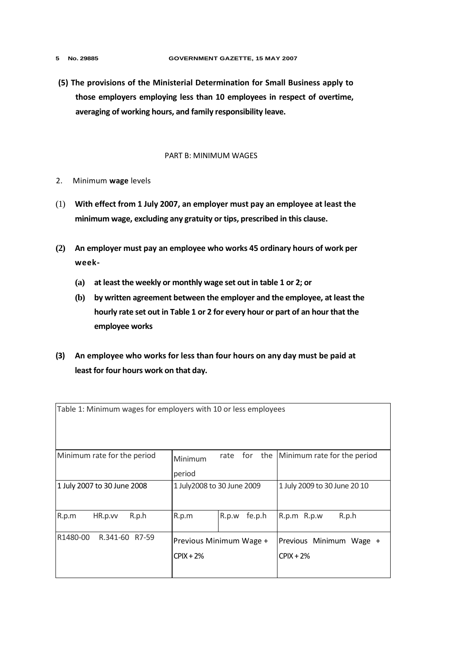- 
- **(5) The provisions of the Ministerial Determination for Small Business apply to those employers employing less than 10 employees in respect of overtime, averaging of working hours, and family responsibility leave.**

#### PART B: MINIMUM WAGES

- 2. Minimum **wage** levels
- (1) **With effect from 1 July 2007, an employer must pay an employee at least the minimum wage, excluding any gratuity or tips, prescribed in this clause.**
- **(2) An employer must pay an employee who works 45 ordinary hours of work per week-**
	- **(a) at least the weekly or monthly wage set out in table 1 or 2; or**
	- **(b) by written agreement between the employer and the employee, at least the hourly rate set out in Table 1 or 2 for every hour or part of an hour that the employee works**
- **(3) An employee who works for less than four hours on any day must be paid at least for four hours work on that day.**

| Table 1: Minimum wages for employers with 10 or less employees |                                         |                 |                                        |  |  |  |  |  |  |  |
|----------------------------------------------------------------|-----------------------------------------|-----------------|----------------------------------------|--|--|--|--|--|--|--|
| Minimum rate for the period                                    | Minimum<br>period                       | for<br>rate     | the Minimum rate for the period        |  |  |  |  |  |  |  |
| 1 July 2007 to 30 June 2008                                    | 1 July2008 to 30 June 2009              |                 | 1 July 2009 to 30 June 20 10           |  |  |  |  |  |  |  |
| R.p.m<br>R.p.h<br>HR.p.vv                                      | R.p.m                                   | R.p.w<br>fe.p.h | R.p.m R.p.w<br>R.p.h                   |  |  |  |  |  |  |  |
| R1480-00<br>R.341-60 R7-59                                     | Previous Minimum Wage +<br>$CPIX + 2\%$ |                 | Previous Minimum Wage +<br>$CPIX + 2%$ |  |  |  |  |  |  |  |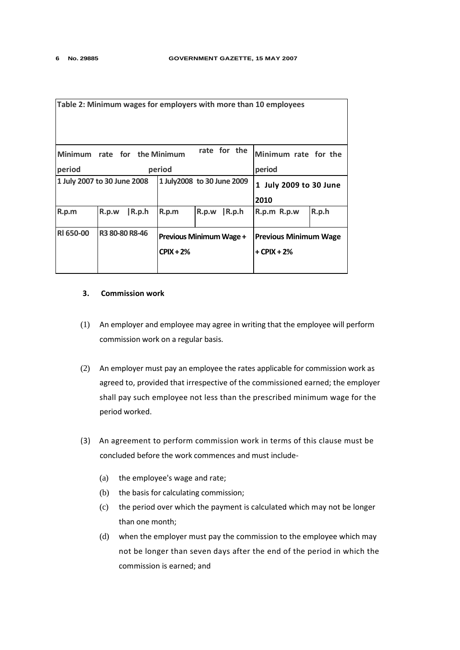| Table 2: Minimum wages for employers with more than 10 employees |       |                                                        |                                               |       |                                               |                                |       |  |  |
|------------------------------------------------------------------|-------|--------------------------------------------------------|-----------------------------------------------|-------|-----------------------------------------------|--------------------------------|-------|--|--|
| period                                                           |       | rate for the<br>Minimum rate for the Minimum<br>period |                                               |       |                                               | Minimum rate for the<br>period |       |  |  |
| 1 July 2007 to 30 June 2008                                      |       |                                                        | 1 July2008 to 30 June 2009                    |       |                                               | 1 July 2009 to 30 June<br>2010 |       |  |  |
| R.p.m                                                            | R.p.w | $\mathsf{R}.\mathsf{p}.\mathsf{h}$                     | R.p.m                                         | R.p.w | $\mathsf{R}.\mathsf{p}.\mathsf{h}$            | R.p.m R.p.w                    | R.p.h |  |  |
| <b>RI 650-00</b>                                                 |       | R3 80-80 R8-46                                         | <b>Previous Minimum Wage +</b><br>$CPIX + 2%$ |       | <b>Previous Minimum Wage</b><br>$+$ CPIX + 2% |                                |       |  |  |

#### **3. Commission work**

- (1) An employer and employee may agree in writing that the employee will perform commission work on a regular basis.
- (2) An employer must pay an employee the rates applicable for commission work as agreed to, provided that irrespective of the commissioned earned; the employer shall pay such employee not less than the prescribed minimum wage for the period worked.
- (3) An agreement to perform commission work in terms of this clause must be concluded before the work commences and must include-
	- (a) the employee's wage and rate;
	- (b) the basis for calculating commission;
	- (c) the period over which the payment is calculated which may not be longer than one month;
	- (d) when the employer must pay the commission to the employee which may not be longer than seven days after the end of the period in which the commission is earned; and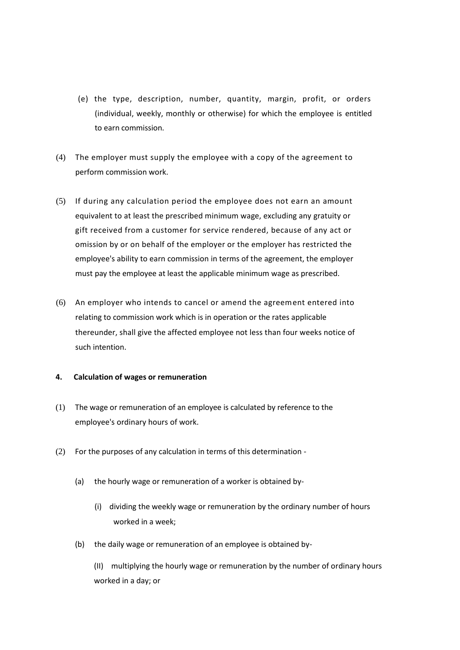- (e) the type, description, number, quantity, margin, profit, or orders (individual, weekly, monthly or otherwise) for which the employee is entitled to earn commission.
- (4) The employer must supply the employee with a copy of the agreement to perform commission work.
- (5) If during any calculation period the employee does not earn an amount equivalent to at least the prescribed minimum wage, excluding any gratuity or gift received from a customer for service rendered, because of any act or omission by or on behalf of the employer or the employer has restricted the employee's ability to earn commission in terms of the agreement, the employer must pay the employee at least the applicable minimum wage as prescribed.
- (6) An employer who intends to cancel or amend the agreement entered into relating to commission work which is in operation or the rates applicable thereunder, shall give the affected employee not less than four weeks notice of such intention.

## **4. Calculation of wages or remuneration**

- (1) The wage or remuneration of an employee is calculated by reference to the employee's ordinary hours of work.
- (2) For the purposes of any calculation in terms of this determination
	- (a) the hourly wage or remuneration of a worker is obtained by-
		- (i) dividing the weekly wage or remuneration by the ordinary number of hours worked in a week;
	- (b) the daily wage or remuneration of an employee is obtained by-

(II) multiplying the hourly wage or remuneration by the number of ordinary hours worked in a day; or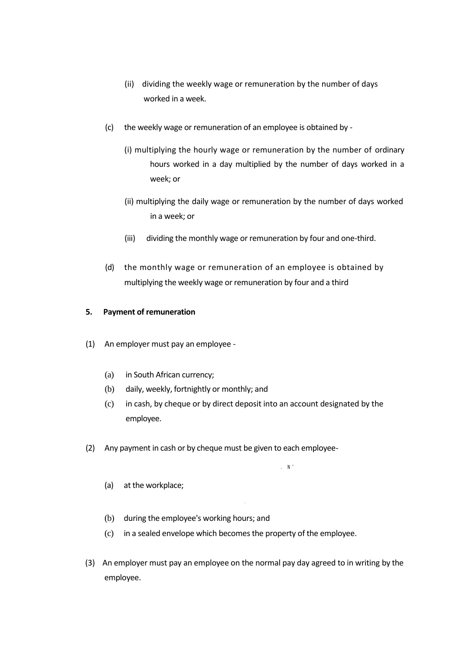- (ii) dividing the weekly wage or remuneration by the number of days worked in a week.
- (c) the weekly wage or remuneration of an employee is obtained by
	- (i) multiplying the hourly wage or remuneration by the number of ordinary hours worked in a day multiplied by the number of days worked in a week; or
	- (ii) multiplying the daily wage or remuneration by the number of days worked in a week; or
	- (iii) dividing the monthly wage or remuneration by four and one-third.
- (d) the monthly wage or remuneration of an employee is obtained by multiplying the weekly wage or remuneration by four and a third

## **5. Payment of remuneration**

- (1) An employer must pay an employee
	- (a) in South African currency;
	- (b) daily, weekly, fortnightly or monthly; and
	- (c) in cash, by cheque or by direct deposit into an account designated by the employee.

.  $\mathbb{N}^{\geq 0}$ 

- (2) Any payment in cash or by cheque must be given to each employee-
	- (a) at the workplace;
	- (b) during the employee's working hours; and
	- (c) in a sealed envelope which becomes the property of the employee.
- (3) An employer must pay an employee on the normal pay day agreed to in writing by the employee.

.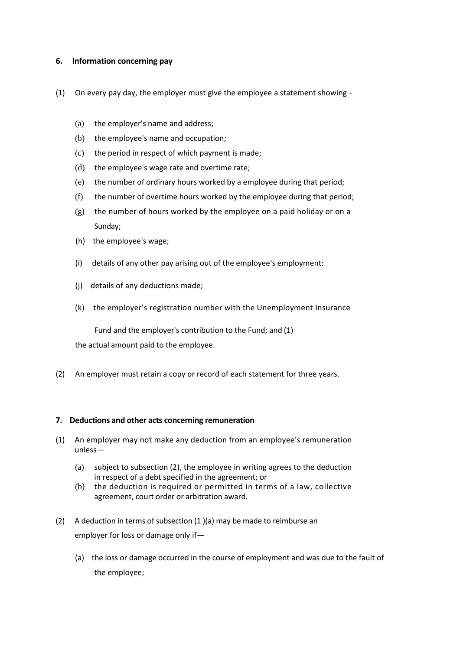## **6. Information concerning pay**

- (1) On every pay day, the employer must give the employee a statement showing
	- (a) the employer's name and address;
	- (b) the employee's name and occupation;
	- (c) the period in respect of which payment is made;
	- (d) the employee's wage rate and overtime rate;
	- (e) the number of ordinary hours worked by a employee during that period;
	- (f) the number of overtime hours worked by the employee during that period;
	- (g) the number of hours worked by the employee on a paid holiday or on a Sunday;
	- (h) the employee's wage;
	- (i) details of any other pay arising out of the employee's employment;
	- (j) details of any deductions made;
	- (k) the employer's registration number with the Unemployment Insurance

Fund and the employer's contribution to the Fund; and (1)

the actual amount paid to the employee.

(2) An employer must retain a copy or record of each statement for three years.

## **7. Deductions and other acts concerning remuneration**

- (1) An employer may not make any deduction from an employee's remuneration unless—
	- (a) subject to subsection (2), the employee in writing agrees to the deduction in respect of a debt specified in the agreement; or
	- (b) the deduction is required or permitted in terms of a law, collective agreement, court order or arbitration award.
- (2) A deduction in terms of subsection (1 )(a) may be made to reimburse an employer for loss or damage only if—
	- (a) the loss or damage occurred in the course of employment and was due to the fault of the employee;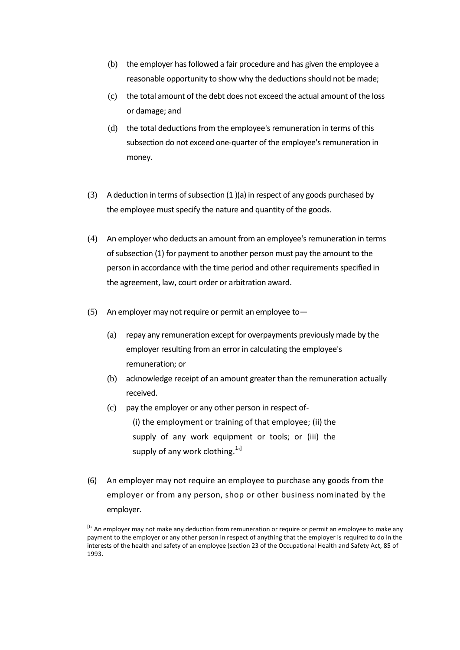- (b) the employer has followed a fair procedure and has given the employee a reasonable opportunity to show why the deductions should not be made;
- (c) the total amount of the debt does not exceed the actual amount of the loss or damage; and
- (d) the total deductions from the employee's remuneration in terms of this subsection do not exceed one-quarter of the employee's remuneration in money.
- (3) A deduction in terms of subsection (1 )(a) in respect of any goods purchased by the employee must specify the nature and quantity of the goods.
- (4) An employer who deducts an amount from an employee's remuneration in terms of subsection (1) for payment to another person must pay the amount to the person in accordance with the time period and other requirements specified in the agreement, law, court order or arbitration award.
- (5) An employer may not require or permit an employee to-
	- (a) repay any remuneration except for overpayments previously made by the employer resulting from an error in calculating the employee's remuneration; or
	- (b) acknowledge receipt of an amount greater than the remuneration actually received.
	- (c) pay the employer or any other person in respect of- (i) the employment or training of that employee; (ii) the supply of any work equipment or tools; or (iii) the supply of any work clothing.<sup>1</sup><sup>1</sup>
- (6) An employer may not require an employee to purchase any goods from the employer or from any person, shop or other business nominated by the employer.

<sup>&</sup>lt;sup>[I</sup>' An employer may not make any deduction from remuneration or require or permit an employee to make any payment to the employer or any other person in respect of anything that the employer is required to do in the interests of the health and safety of an employee (section 23 of the Occupational Health and Safety Act, 85 of 1993.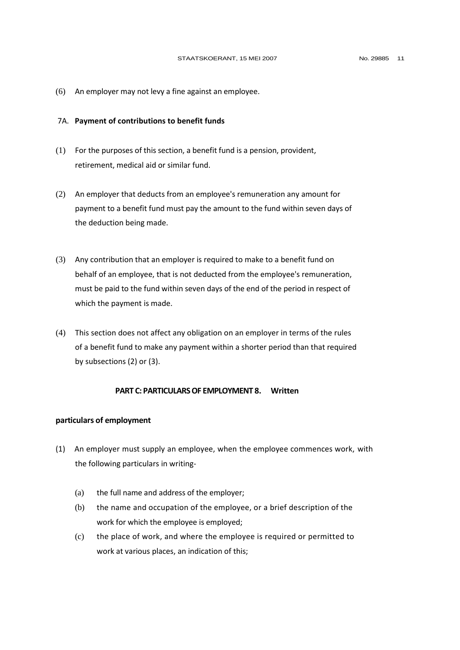(6) An employer may not levy a fine against an employee.

#### 7A. **Payment of contributions to benefit funds**

- (1) For the purposes of this section, a benefit fund is a pension, provident, retirement, medical aid or similar fund.
- (2) An employer that deducts from an employee's remuneration any amount for payment to a benefit fund must pay the amount to the fund within seven days of the deduction being made.
- (3) Any contribution that an employer is required to make to a benefit fund on behalf of an employee, that is not deducted from the employee's remuneration, must be paid to the fund within seven days of the end of the period in respect of which the payment is made.
- (4) This section does not affect any obligation on an employer in terms of the rules of a benefit fund to make any payment within a shorter period than that required by subsections (2) or (3).

#### **PART C: PARTICULARS OF EMPLOYMENT 8. Written**

#### **particulars of employment**

- (1) An employer must supply an employee, when the employee commences work, with the following particulars in writing-
	- (a) the full name and address of the employer;
	- (b) the name and occupation of the employee, or a brief description of the work for which the employee is employed;
	- (c) the place of work, and where the employee is required or permitted to work at various places, an indication of this;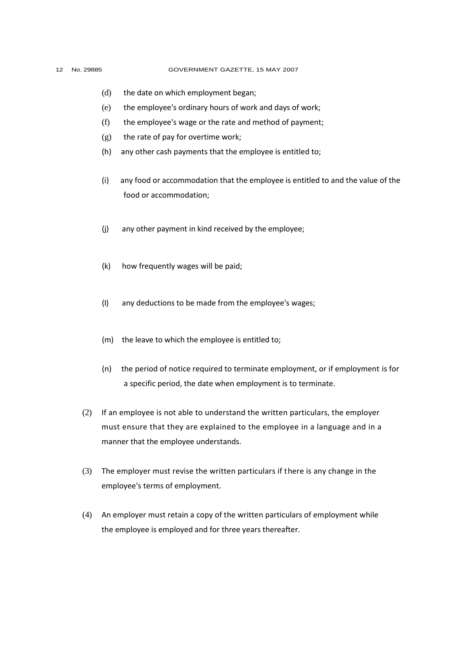#### 12 No. 29885 GOVERNMENT GAZETTE, 15 MAY 2007

- (d) the date on which employment began;
- (e) the employee's ordinary hours of work and days of work;
- (f) the employee's wage or the rate and method of payment;
- (g) the rate of pay for overtime work;
- (h) any other cash payments that the employee is entitled to;
- (i) any food or accommodation that the employee is entitled to and the value of the food or accommodation;
- (j) any other payment in kind received by the employee;
- (k) how frequently wages will be paid;
- (I) any deductions to be made from the employee's wages;
- (m) the leave to which the employee is entitled to;
- (n) the period of notice required to terminate employment, or if employment is for a specific period, the date when employment is to terminate.
- (2) If an employee is not able to understand the written particulars, the employer must ensure that they are explained to the employee in a language and in a manner that the employee understands.
- (3) The employer must revise the written particulars if there is any change in the employee's terms of employment.
- (4) An employer must retain a copy of the written particulars of employment while the employee is employed and for three years thereafter.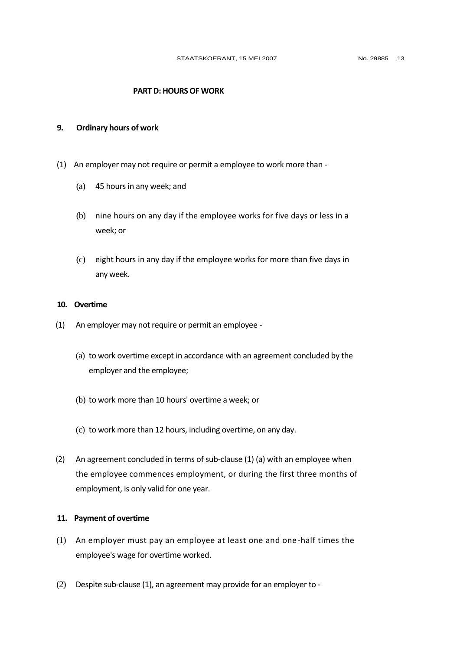### **PART D: HOURS OF WORK**

#### **9. Ordinary hours of work**

- (1) An employer may not require or permit a employee to work more than
	- (a) 45 hours in any week; and
	- (b) nine hours on any day if the employee works for five days or less in a week; or
	- (c) eight hours in any day if the employee works for more than five days in any week.

## **10. Overtime**

- (1) An employer may not require or permit an employee
	- (a) to work overtime except in accordance with an agreement concluded by the employer and the employee;
	- (b) to work more than 10 hours' overtime a week; or
	- (c) to work more than 12 hours, including overtime, on any day.
- (2) An agreement concluded in terms of sub-clause (1) (a) with an employee when the employee commences employment, or during the first three months of employment, is only valid for one year.

### **11. Payment of overtime**

- (1) An employer must pay an employee at least one and one-half times the employee's wage for overtime worked.
- (2) Despite sub-clause (1), an agreement may provide for an employer to -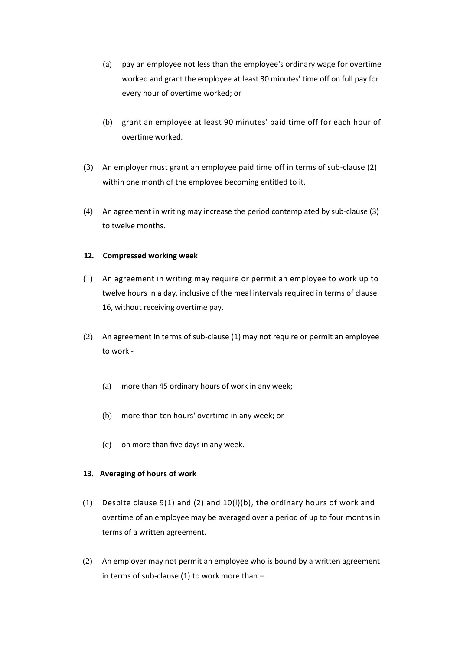- (a) pay an employee not less than the employee's ordinary wage for overtime worked and grant the employee at least 30 minutes' time off on full pay for every hour of overtime worked; or
- (b) grant an employee at least 90 minutes' paid time off for each hour of overtime worked.
- (3) An employer must grant an employee paid time off in terms of sub-clause (2) within one month of the employee becoming entitled to it.
- (4) An agreement in writing may increase the period contemplated by sub-clause (3) to twelve months.

## **12. Compressed working week**

- (1) An agreement in writing may require or permit an employee to work up to twelve hours in a day, inclusive of the meal intervals required in terms of clause 16, without receiving overtime pay.
- (2) An agreement in terms of sub-clause (1) may not require or permit an employee to work -
	- (a) more than 45 ordinary hours of work in any week;
	- (b) more than ten hours' overtime in any week; or
	- (c) on more than five days in any week.

## **13. Averaging of hours of work**

- (1) Despite clause 9(1) and (2) and 10(l)(b), the ordinary hours of work and overtime of an employee may be averaged over a period of up to four months in terms of a written agreement.
- (2) An employer may not permit an employee who is bound by a written agreement in terms of sub-clause (1) to work more than  $-$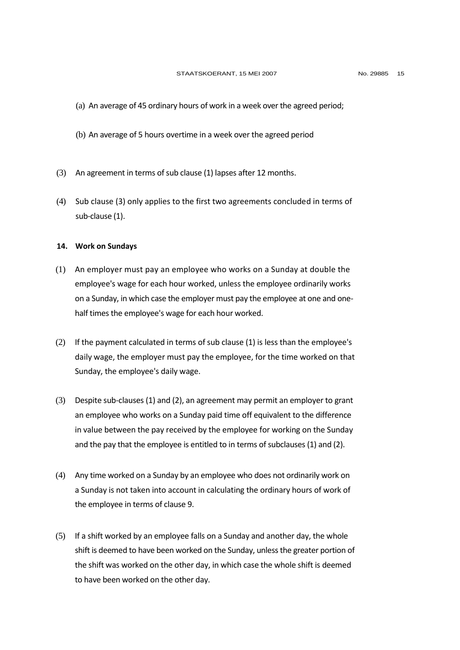- (a) An average of 45 ordinary hours of work in a week over the agreed period;
- (b) An average of 5 hours overtime in a week over the agreed period
- (3) An agreement in terms of sub clause (1) lapses after 12 months.
- (4) Sub clause (3) only applies to the first two agreements concluded in terms of sub-clause (1).

#### **14. Work on Sundays**

- (1) An employer must pay an employee who works on a Sunday at double the employee's wage for each hour worked, unless the employee ordinarily works on a Sunday, in which case the employer must pay the employee at one and onehalf times the employee's wage for each hour worked.
- (2) If the payment calculated in terms of sub clause (1) is less than the employee's daily wage, the employer must pay the employee, for the time worked on that Sunday, the employee's daily wage.
- (3) Despite sub-clauses (1) and (2), an agreement may permit an employer to grant an employee who works on a Sunday paid time off equivalent to the difference in value between the pay received by the employee for working on the Sunday and the pay that the employee is entitled to in terms of subclauses (1) and (2).
- (4) Any time worked on a Sunday by an employee who does not ordinarily work on a Sunday is not taken into account in calculating the ordinary hours of work of the employee in terms of clause 9.
- (5) If a shift worked by an employee falls on a Sunday and another day, the whole shift is deemed to have been worked on the Sunday, unless the greater portion of the shift was worked on the other day, in which case the whole shift is deemed to have been worked on the other day.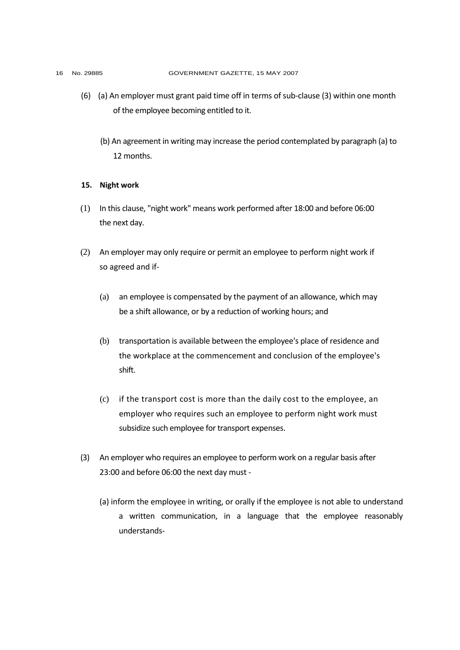- (6) (a) An employer must grant paid time off in terms of sub-clause (3) within one month of the employee becoming entitled to it.
	- (b) An agreement in writing may increase the period contemplated by paragraph (a) to 12 months.

#### **15. Night work**

- (1) In this clause, "night work" means work performed after 18:00 and before 06:00 the next day.
- (2) An employer may only require or permit an employee to perform night work if so agreed and if-
	- (a) an employee is compensated by the payment of an allowance, which may be a shift allowance, or by a reduction of working hours; and
	- (b) transportation is available between the employee's place of residence and the workplace at the commencement and conclusion of the employee's shift.
	- (c) if the transport cost is more than the daily cost to the employee, an employer who requires such an employee to perform night work must subsidize such employee for transport expenses.
- (3) An employer who requires an employee to perform work on a regular basis after 23:00 and before 06:00 the next day must -
	- (a) inform the employee in writing, or orally if the employee is not able to understand a written communication, in a language that the employee reasonably understands-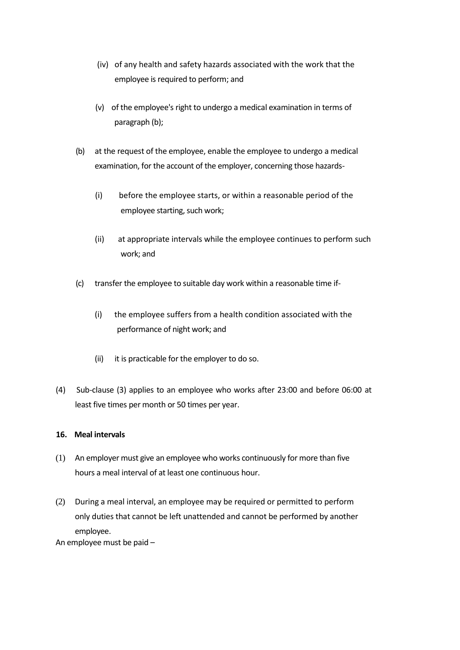- (iv) of any health and safety hazards associated with the work that the employee is required to perform; and
- (v) of the employee's right to undergo a medical examination in terms of paragraph (b);
- (b) at the request of the employee, enable the employee to undergo a medical examination, for the account of the employer, concerning those hazards-
	- (i) before the employee starts, or within a reasonable period of the employee starting, such work;
	- (ii) at appropriate intervals while the employee continues to perform such work; and
- (c) transfer the employee to suitable day work within a reasonable time if-
	- (i) the employee suffers from a health condition associated with the performance of night work; and
	- (ii) it is practicable for the employer to do so.
- (4) Sub-clause (3) applies to an employee who works after 23:00 and before 06:00 at least five times per month or 50 times per year.

# **16. Meal intervals**

- (1) An employer must give an employee who works continuously for more than five hours a meal interval of at least one continuous hour.
- (2) During a meal interval, an employee may be required or permitted to perform only duties that cannot be left unattended and cannot be performed by another employee.

An employee must be paid –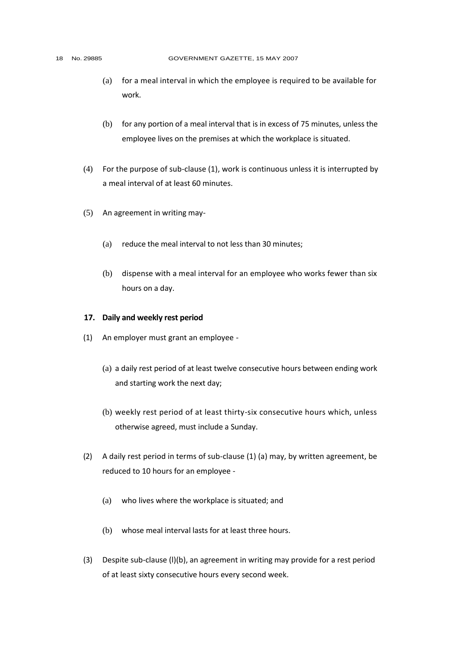- (a) for a meal interval in which the employee is required to be available for work.
- (b) for any portion of a meal interval that is in excess of 75 minutes, unless the employee lives on the premises at which the workplace is situated.
- (4) For the purpose of sub-clause (1), work is continuous unless it is interrupted by a meal interval of at least 60 minutes.
- (5) An agreement in writing may-
	- (a) reduce the meal interval to not less than 30 minutes;
	- (b) dispense with a meal interval for an employee who works fewer than six hours on a day.

#### **17. Daily and weekly rest period**

- (1) An employer must grant an employee
	- (a) a daily rest period of at least twelve consecutive hours between ending work and starting work the next day;
	- (b) weekly rest period of at least thirty-six consecutive hours which, unless otherwise agreed, must include a Sunday.
- (2) A daily rest period in terms of sub-clause (1) (a) may, by written agreement, be reduced to 10 hours for an employee -
	- (a) who lives where the workplace is situated; and
	- (b) whose meal interval lasts for at least three hours.
- (3) Despite sub-clause (l)(b), an agreement in writing may provide for a rest period of at least sixty consecutive hours every second week.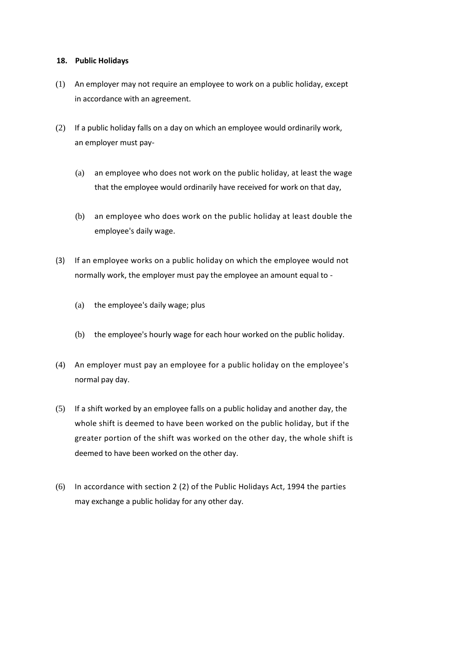## **18. Public Holidays**

- (1) An employer may not require an employee to work on a public holiday, except in accordance with an agreement.
- (2) If a public holiday falls on a day on which an employee would ordinarily work, an employer must pay-
	- (a) an employee who does not work on the public holiday, at least the wage that the employee would ordinarily have received for work on that day,
	- (b) an employee who does work on the public holiday at least double the employee's daily wage.
- (3) If an employee works on a public holiday on which the employee would not normally work, the employer must pay the employee an amount equal to -
	- (a) the employee's daily wage; plus
	- (b) the employee's hourly wage for each hour worked on the public holiday.
- (4) An employer must pay an employee for a public holiday on the employee's normal pay day.
- (5) If a shift worked by an employee falls on a public holiday and another day, the whole shift is deemed to have been worked on the public holiday, but if the greater portion of the shift was worked on the other day, the whole shift is deemed to have been worked on the other day.
- (6) In accordance with section 2 (2) of the Public Holidays Act, 1994 the parties may exchange a public holiday for any other day.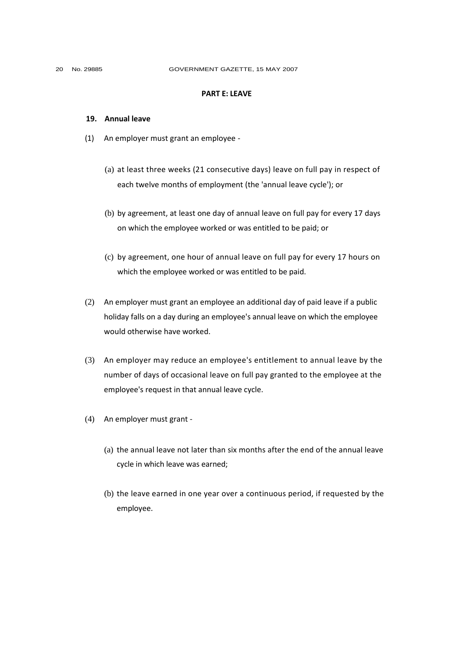#### **PART E: LEAVE**

#### **19. Annual leave**

- (1) An employer must grant an employee
	- (a) at least three weeks (21 consecutive days) leave on full pay in respect of each twelve months of employment (the 'annual leave cycle'); or
	- (b) by agreement, at least one day of annual leave on full pay for every 17 days on which the employee worked or was entitled to be paid; or
	- (c) by agreement, one hour of annual leave on full pay for every 17 hours on which the employee worked or was entitled to be paid.
- (2) An employer must grant an employee an additional day of paid leave if a public holiday falls on a day during an employee's annual leave on which the employee would otherwise have worked.
- (3) An employer may reduce an employee's entitlement to annual leave by the number of days of occasional leave on full pay granted to the employee at the employee's request in that annual leave cycle.
- (4) An employer must grant
	- (a) the annual leave not later than six months after the end of the annual leave cycle in which leave was earned;
	- (b) the leave earned in one year over a continuous period, if requested by the employee.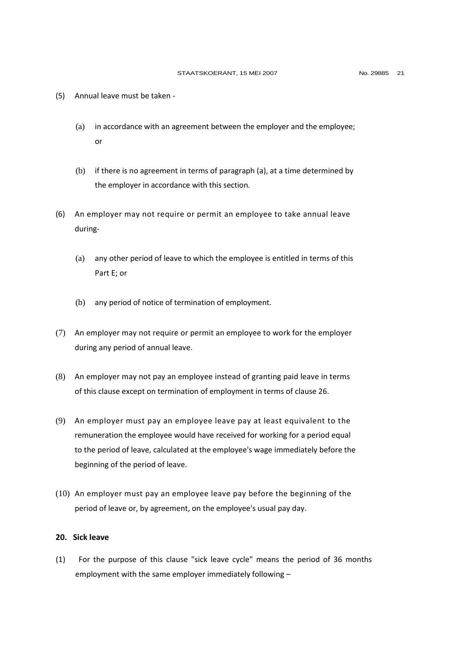- (5) Annual leave must be taken
	- (a) in accordance with an agreement between the employer and the employee; or
	- (b) if there is no agreement in terms of paragraph (a), at a time determined by the employer in accordance with this section.
- (6) An employer may not require or permit an employee to take annual leave during-
	- (a) any other period of leave to which the employee is entitled in terms of this Part E; or
	- (b) any period of notice of termination of employment.
- (7) An employer may not require or permit an employee to work for the employer during any period of annual leave.
- (8) An employer may not pay an employee instead of granting paid leave in terms of this clause except on termination of employment in terms of clause 26.
- (9) An employer must pay an employee leave pay at least equivalent to the remuneration the employee would have received for working for a period equal to the period of leave, calculated at the employee's wage immediately before the beginning of the period of leave.
- (10) An employer must pay an employee leave pay before the beginning of the period of leave or, by agreement, on the employee's usual pay day.

## **20. Sick leave**

(1) For the purpose of this clause "sick leave cycle" means the period of 36 months employment with the same employer immediately following –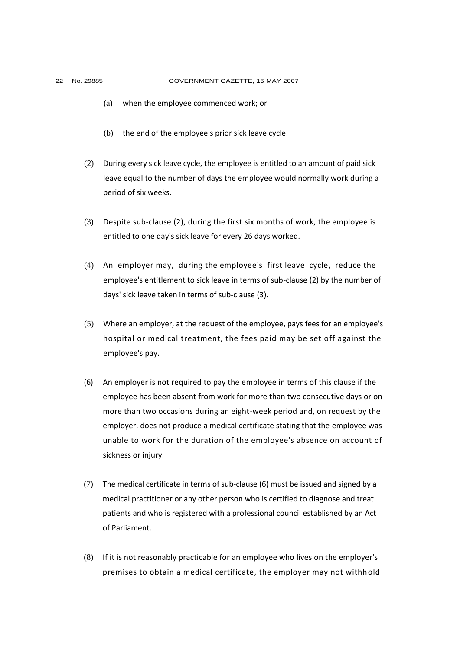- - (a) when the employee commenced work; or
	- (b) the end of the employee's prior sick leave cycle.
	- (2) During every sick leave cycle, the employee is entitled to an amount of paid sick leave equal to the number of days the employee would normally work during a period of six weeks.
	- (3) Despite sub-clause (2), during the first six months of work, the employee is entitled to one day's sick leave for every 26 days worked.
	- (4) An employer may, during the employee's first leave cycle, reduce the employee's entitlement to sick leave in terms of sub-clause (2) by the number of days' sick leave taken in terms of sub-clause (3).
	- (5) Where an employer, at the request of the employee, pays fees for an employee's hospital or medical treatment, the fees paid may be set off against the employee's pay.
	- (6) An employer is not required to pay the employee in terms of this clause if the employee has been absent from work for more than two consecutive days or on more than two occasions during an eight-week period and, on request by the employer, does not produce a medical certificate stating that the employee was unable to work for the duration of the employee's absence on account of sickness or injury.
	- (7) The medical certificate in terms of sub-clause (6) must be issued and signed by a medical practitioner or any other person who is certified to diagnose and treat patients and who is registered with a professional council established by an Act of Parliament.
	- (8) If it is not reasonably practicable for an employee who lives on the employer's premises to obtain a medical certificate, the employer may not withhold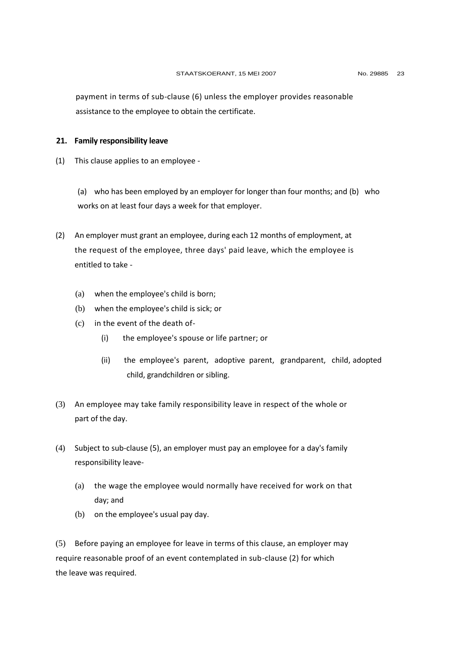payment in terms of sub-clause (6) unless the employer provides reasonable assistance to the employee to obtain the certificate.

#### **21. Family responsibility leave**

(1) This clause applies to an employee -

(a) who has been employed by an employer for longer than four months; and (b) who works on at least four days a week for that employer.

- (2) An employer must grant an employee, during each 12 months of employment, at the request of the employee, three days' paid leave, which the employee is entitled to take -
	- (a) when the employee's child is born;
	- (b) when the employee's child is sick; or
	- (c) in the event of the death of-
		- (i) the employee's spouse or life partner; or
		- (ii) the employee's parent, adoptive parent, grandparent, child, adopted child, grandchildren or sibling.
- (3) An employee may take family responsibility leave in respect of the whole or part of the day.
- (4) Subject to sub-clause (5), an employer must pay an employee for a day's family responsibility leave-
	- (a) the wage the employee would normally have received for work on that day; and
	- (b) on the employee's usual pay day.

(5) Before paying an employee for leave in terms of this clause, an employer may require reasonable proof of an event contemplated in sub-clause (2) for which the leave was required.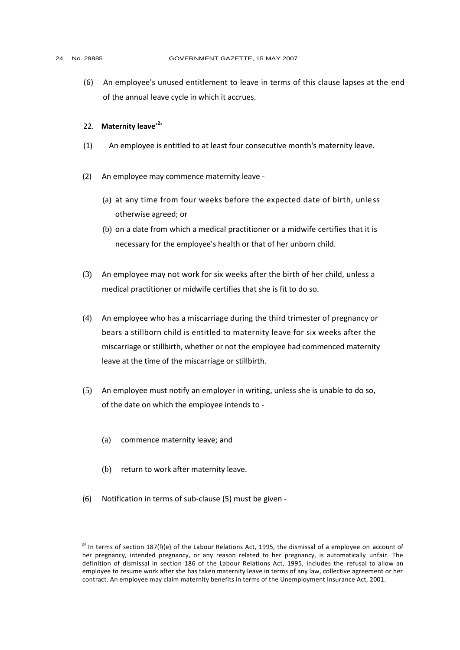#### 24 No. 29885 GOVERNMENT GAZETTE, 15 MAY 2007

(6) An employee's unused entitlement to leave in terms of this clause lapses at the end of the annual leave cycle in which it accrues.

# 22. **Maternity leave'<sup>2</sup> '**

- (1) An employee is entitled to at least four consecutive month's maternity leave.
- (2) An employee may commence maternity leave
	- (a) at any time from four weeks before the expected date of birth, unless otherwise agreed; or
	- (b) on a date from which a medical practitioner or a midwife certifies that it is necessary for the employee's health or that of her unborn child.
- (3) An employee may not work for six weeks after the birth of her child, unless a medical practitioner or midwife certifies that she is fit to do so.
- (4) An employee who has a miscarriage during the third trimester of pregnancy or bears a stillborn child is entitled to maternity leave for six weeks after the miscarriage or stillbirth, whether or not the employee had commenced maternity leave at the time of the miscarriage or stillbirth.
- (5) An employee must notify an employer in writing, unless she is unable to do so, of the date on which the employee intends to -
	- (a) commence maternity leave; and
	- (b) return to work after maternity leave.
- (6) Notification in terms of sub-clause (5) must be given -

pl In terms of section 187(I)(e) of the Labour Relations Act, 1995, the dismissal of a employee on account of her pregnancy, intended pregnancy, or any reason related to her pregnancy, is automatically unfair. The definition of dismissal in section 186 of the Labour Relations Act, 1995, includes the refusal to allow an employee to resume work after she has taken maternity leave in terms of any law, collective agreement or her contract. An employee may claim maternity benefits in terms of the Unemployment Insurance Act, 2001.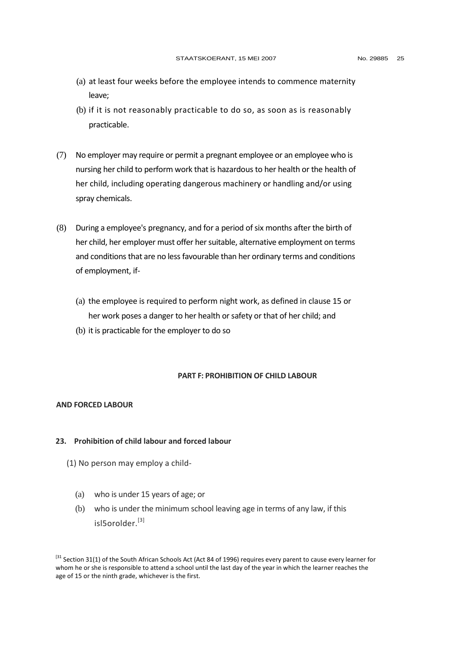- (a) at least four weeks before the employee intends to commence maternity leave;
- (b) if it is not reasonably practicable to do so, as soon as is reasonably practicable.
- (7) No employer may require or permit a pregnant employee or an employee who is nursing her child to perform work that is hazardous to her health or the health of her child, including operating dangerous machinery or handling and/or using spray chemicals.
- (8) During a employee's pregnancy, and for a period of six months after the birth of her child, her employer must offer her suitable, alternative employment on terms and conditions that are no less favourable than her ordinary terms and conditions of employment, if-
	- (a) the employee is required to perform night work, as defined in clause 15 or her work poses a danger to her health or safety or that of her child; and
	- (b) it is practicable for the employer to do so

## **PART F: PROHIBITION OF CHILD LABOUR**

#### **AND FORCED LABOUR**

## **23. Prohibition of child labour and forced labour**

- (1) No person may employ a child-
	- (a) who is under 15 years of age; or
	- (b) who is under the minimum school leaving age in terms of any law, if this isl5orolder<sup>[3]</sup>

<sup>&</sup>lt;sup>[31</sup> Section 31(1) of the South African Schools Act (Act 84 of 1996) requires every parent to cause every learner for whom he or she is responsible to attend a school until the last day of the year in which the learner reaches the age of 15 or the ninth grade, whichever is the first.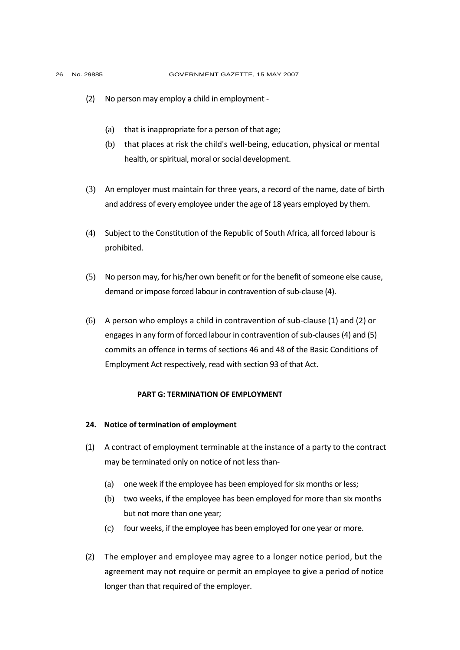- (2) No person may employ a child in employment
	- (a) that is inappropriate for a person of that age;
	- (b) that places at risk the child's well-being, education, physical or mental health, or spiritual, moral or social development.
- (3) An employer must maintain for three years, a record of the name, date of birth and address of every employee under the age of 18 years employed by them.
- (4) Subject to the Constitution of the Republic of South Africa, all forced labour is prohibited.
- (5) No person may, for his/her own benefit or for the benefit of someone else cause, demand or impose forced labour in contravention of sub-clause (4).
- (6) A person who employs a child in contravention of sub-clause (1) and (2) or engages in any form of forced labour in contravention of sub-clauses (4) and (5) commits an offence in terms of sections 46 and 48 of the Basic Conditions of Employment Act respectively, read with section 93 of that Act.

#### **PART G: TERMINATION OF EMPLOYMENT**

#### **24. Notice of termination of employment**

- (1) A contract of employment terminable at the instance of a party to the contract may be terminated only on notice of not less than-
	- (a) one week if the employee has been employed for six months or less;
	- (b) two weeks, if the employee has been employed for more than six months but not more than one year;
	- (c) four weeks, if the employee has been employed for one year or more.
- (2) The employer and employee may agree to a longer notice period, but the agreement may not require or permit an employee to give a period of notice longer than that required of the employer.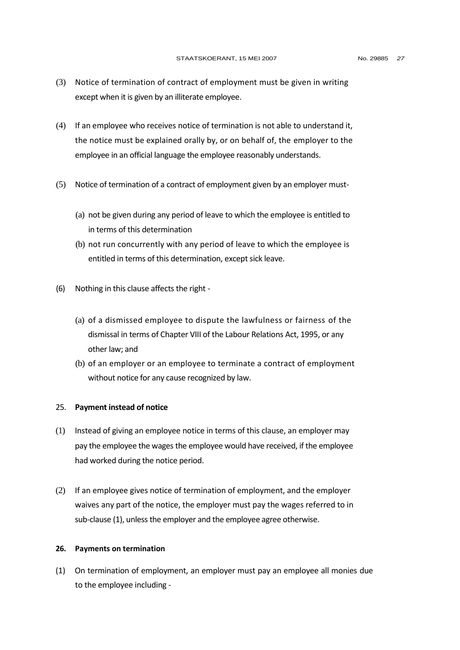- (3) Notice of termination of contract of employment must be given in writing except when it is given by an illiterate employee.
- (4) If an employee who receives notice of termination is not able to understand it, the notice must be explained orally by, or on behalf of, the employer to the employee in an official language the employee reasonably understands.
- (5) Notice of termination of a contract of employment given by an employer must-
	- (a) not be given during any period of leave to which the employee is entitled to in terms of this determination
	- (b) not run concurrently with any period of leave to which the employee is entitled in terms of this determination, except sick leave.
- (6) Nothing in this clause affects the right
	- (a) of a dismissed employee to dispute the lawfulness or fairness of the dismissal in terms of Chapter VIII of the Labour Relations Act, 1995, or any other law; and
	- (b) of an employer or an employee to terminate a contract of employment without notice for any cause recognized by law.

#### 25. **Payment instead of notice**

- (1) Instead of giving an employee notice in terms of this clause, an employer may pay the employee the wages the employee would have received, if the employee had worked during the notice period.
- (2) If an employee gives notice of termination of employment, and the employer waives any part of the notice, the employer must pay the wages referred to in sub-clause (1), unless the employer and the employee agree otherwise.

#### **26. Payments on termination**

(1) On termination of employment, an employer must pay an employee all monies due to the employee including -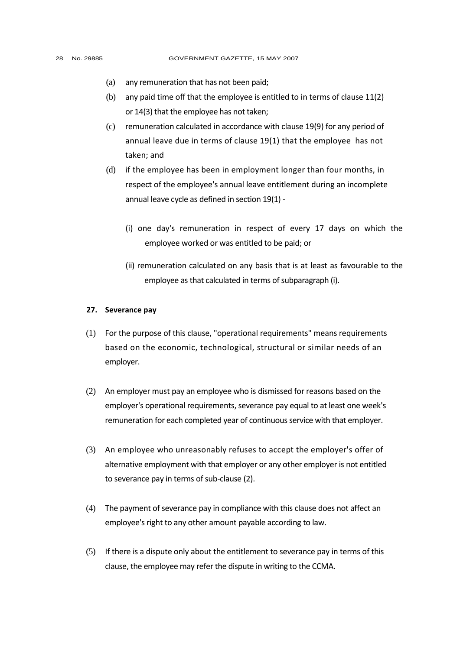- (a) any remuneration that has not been paid;
- (b) any paid time off that the employee is entitled to in terms of clause 11(2) or 14(3) that the employee has not taken;
- (c) remuneration calculated in accordance with clause 19(9) for any period of annual leave due in terms of clause 19(1) that the employee has not taken; and
- (d) if the employee has been in employment longer than four months, in respect of the employee's annual leave entitlement during an incomplete annual leave cycle as defined in section 19(1) -
	- (i) one day's remuneration in respect of every 17 days on which the employee worked or was entitled to be paid; or
	- (ii) remuneration calculated on any basis that is at least as favourable to the employee as that calculated in terms of subparagraph (i).

### **27. Severance pay**

- (1) For the purpose of this clause, "operational requirements" means requirements based on the economic, technological, structural or similar needs of an employer.
- (2) An employer must pay an employee who is dismissed for reasons based on the employer's operational requirements, severance pay equal to at least one week's remuneration for each completed year of continuous service with that employer.
- (3) An employee who unreasonably refuses to accept the employer's offer of alternative employment with that employer or any other employer is not entitled to severance pay in terms of sub-clause (2).
- (4) The payment of severance pay in compliance with this clause does not affect an employee's right to any other amount payable according to law.
- (5) If there is a dispute only about the entitlement to severance pay in terms of this clause, the employee may refer the dispute in writing to the CCMA.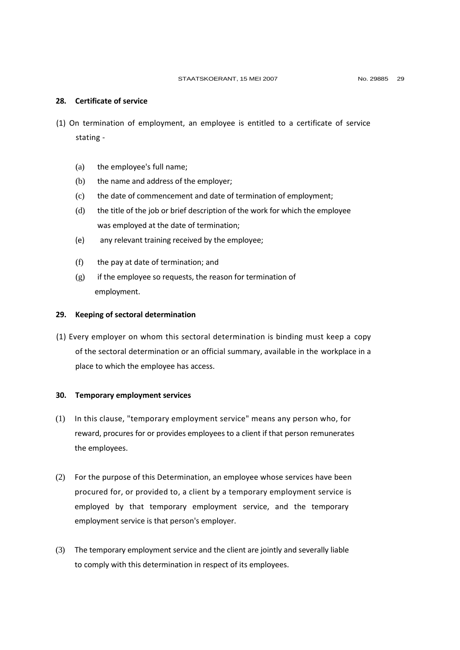## **28. Certificate of service**

- (1) On termination of employment, an employee is entitled to a certificate of service stating -
	- (a) the employee's full name;
	- (b) the name and address of the employer;
	- (c) the date of commencement and date of termination of employment;
	- (d) the title of the job or brief description of the work for which the employee was employed at the date of termination;
	- (e) any relevant training received by the employee;
	- (f) the pay at date of termination; and
	- $(g)$  if the employee so requests, the reason for termination of employment.

#### **29. Keeping of sectoral determination**

(1) Every employer on whom this sectoral determination is binding must keep a copy of the sectoral determination or an official summary, available in the workplace in a place to which the employee has access.

#### **30. Temporary employment services**

- (1) In this clause, "temporary employment service" means any person who, for reward, procures for or provides employees to a client if that person remunerates the employees.
- (2) For the purpose of this Determination, an employee whose services have been procured for, or provided to, a client by a temporary employment service is employed by that temporary employment service, and the temporary employment service is that person's employer.
- (3) The temporary employment service and the client are jointly and severally liable to comply with this determination in respect of its employees.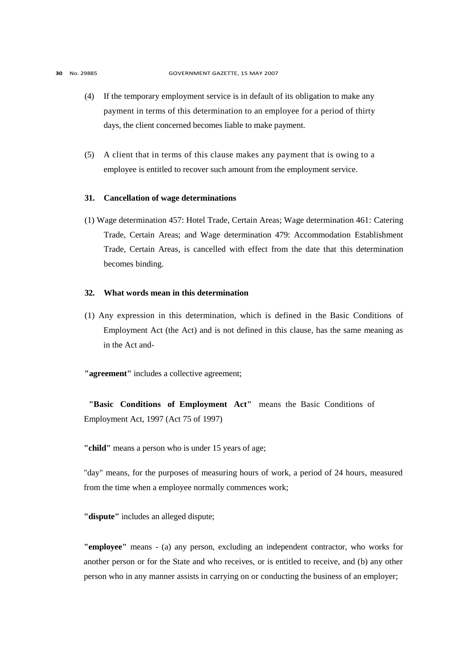- (4) If the temporary employment service is in default of its obligation to make any payment in terms of this determination to an employee for a period of thirty days, the client concerned becomes liable to make payment.
- (5) A client that in terms of this clause makes any payment that is owing to a employee is entitled to recover such amount from the employment service.

## **31. Cancellation of wage determinations**

(1) Wage determination 457: Hotel Trade, Certain Areas; Wage determination 461: Catering Trade, Certain Areas; and Wage determination 479: Accommodation Establishment Trade, Certain Areas, is cancelled with effect from the date that this determination becomes binding.

## **32. What words mean in this determination**

(1) Any expression in this determination, which is defined in the Basic Conditions of Employment Act (the Act) and is not defined in this clause, has the same meaning as in the Act and-

**"agreement"** includes a collective agreement;

**"Basic Conditions of Employment Act"** means the Basic Conditions of Employment Act, 1997 (Act 75 of 1997)

**"child"** means a person who is under 15 years of age;

"day" means, for the purposes of measuring hours of work, a period of 24 hours, measured from the time when a employee normally commences work;

**"dispute"** includes an alleged dispute;

**"employee"** means - (a) any person, excluding an independent contractor, who works for another person or for the State and who receives, or is entitled to receive, and (b) any other person who in any manner assists in carrying on or conducting the business of an employer;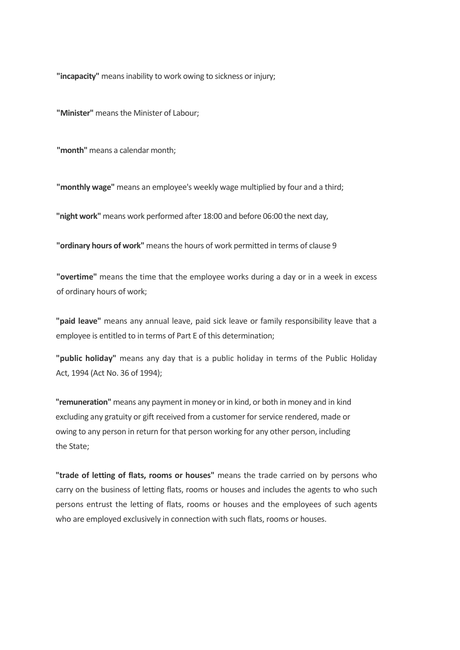**"incapacity"** means inability to work owing to sickness or injury;

**"Minister"** means the Minister of Labour;

**"month"** means a calendar month;

**"monthly wage"** means an employee's weekly wage multiplied by four and a third;

**"night work"** means work performed after 18:00 and before 06:00 the next day,

**"ordinary hours of work"** means the hours of work permitted in terms of clause 9

**"overtime"** means the time that the employee works during a day or in a week in excess of ordinary hours of work;

**"paid leave"** means any annual leave, paid sick leave or family responsibility leave that a employee is entitled to in terms of Part E of this determination;

**"public holiday"** means any day that is a public holiday in terms of the Public Holiday Act, 1994 (Act No. 36 of 1994);

**"remuneration"** means any payment in money or in kind, or both in money and in kind excluding any gratuity or gift received from a customer for service rendered, made or owing to any person in return for that person working for any other person, including the State;

**"trade of letting of flats, rooms or houses"** means the trade carried on by persons who carry on the business of letting flats, rooms or houses and includes the agents to who such persons entrust the letting of flats, rooms or houses and the employees of such agents who are employed exclusively in connection with such flats, rooms or houses.